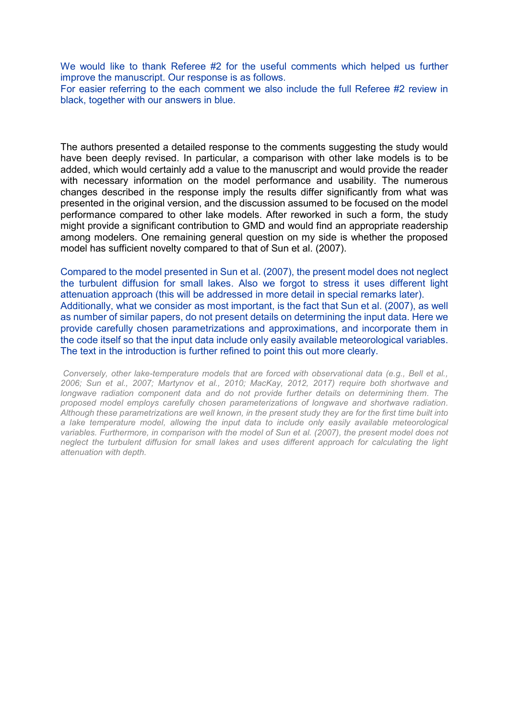We would like to thank Referee #2 for the useful comments which helped us further improve the manuscript. Our response is as follows.

For easier referring to the each comment we also include the full Referee #2 review in black, together with our answers in blue.

The authors presented a detailed response to the comments suggesting the study would have been deeply revised. In particular, a comparison with other lake models is to be added, which would certainly add a value to the manuscript and would provide the reader with necessary information on the model performance and usability. The numerous changes described in the response imply the results differ significantly from what was presented in the original version, and the discussion assumed to be focused on the model performance compared to other lake models. After reworked in such a form, the study might provide a significant contribution to GMD and would find an appropriate readership among modelers. One remaining general question on my side is whether the proposed model has sufficient novelty compared to that of Sun et al. (2007).

Compared to the model presented in Sun et al. (2007), the present model does not neglect the turbulent diffusion for small lakes. Also we forgot to stress it uses different light attenuation approach (this will be addressed in more detail in special remarks later). Additionally, what we consider as most important, is the fact that Sun et al. (2007), as well as number of similar papers, do not present details on determining the input data. Here we provide carefully chosen parametrizations and approximations, and incorporate them in the code itself so that the input data include only easily available meteorological variables. The text in the introduction is further refined to point this out more clearly.

*Conversely, other lake-temperature models that are forced with observational data (e.g., Bell et al., 2006; Sun et al., 2007; Martynov et al., 2010; MacKay, 2012, 2017) require both shortwave and longwave radiation component data and do not provide further details on determining them. The proposed model employs carefully chosen parameterizations of longwave and shortwave radiation. Although these parametrizations are well known, in the present study they are for the first time built into a lake temperature model, allowing the input data to include only easily available meteorological variables. Furthermore, in comparison with the model of Sun et al. (2007), the present model does not neglect the turbulent diffusion for small lakes and uses different approach for calculating the light attenuation with depth.*